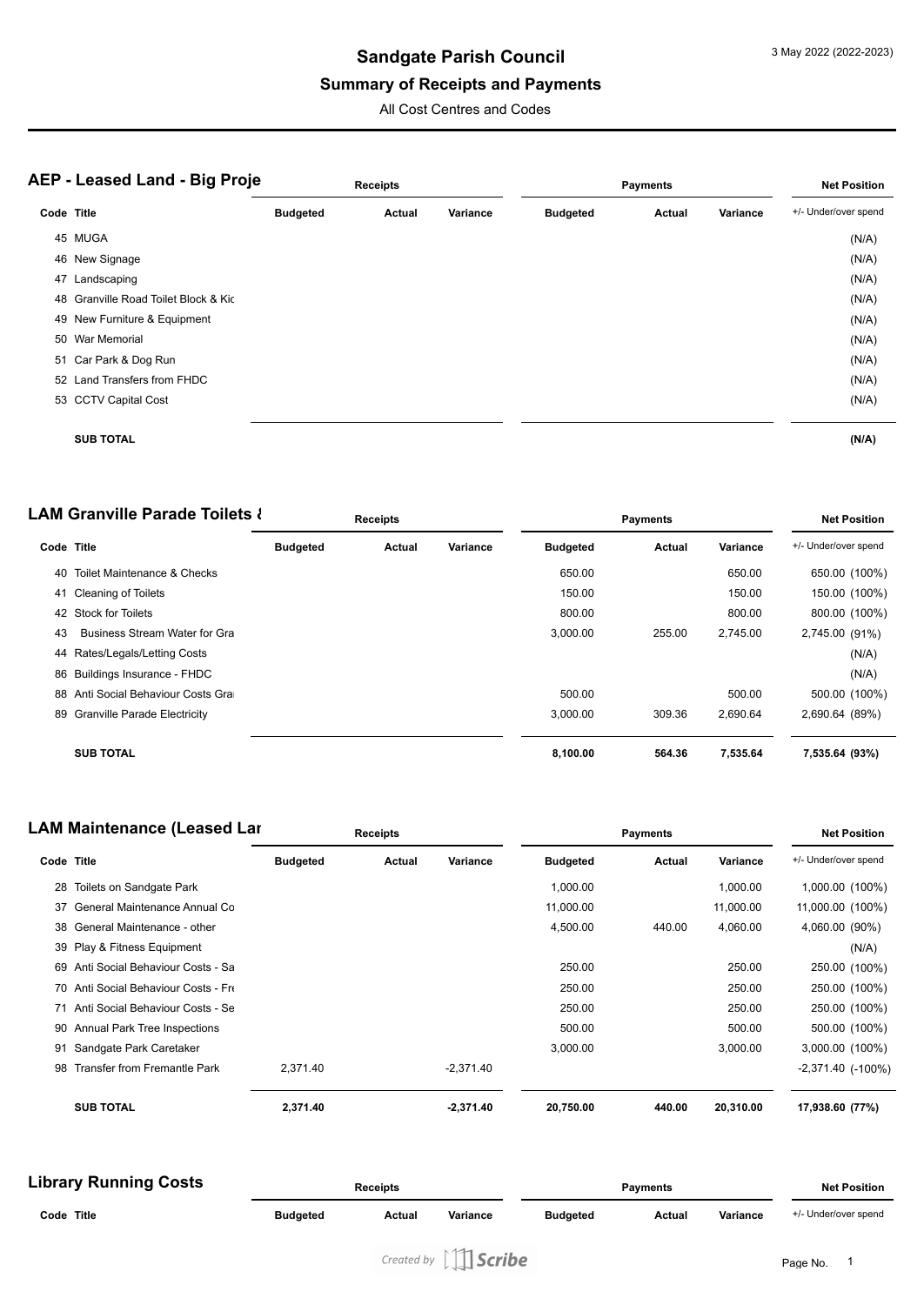#### **Summary of Receipts and Payments**

All Cost Centres and Codes

| <b>AEP - Leased Land - Big Proje</b> |                                      | <b>Receipts</b> |        |          | <b>Payments</b> | <b>Net Position</b> |          |                      |
|--------------------------------------|--------------------------------------|-----------------|--------|----------|-----------------|---------------------|----------|----------------------|
| Code Title                           |                                      | <b>Budgeted</b> | Actual | Variance | <b>Budgeted</b> | Actual              | Variance | +/- Under/over spend |
|                                      | 45 MUGA                              |                 |        |          |                 |                     |          | (N/A)                |
|                                      | 46 New Signage                       |                 |        |          |                 |                     |          | (N/A)                |
| 47                                   | Landscaping                          |                 |        |          |                 |                     |          | (N/A)                |
|                                      | 48 Granville Road Toilet Block & Kic |                 |        |          |                 |                     |          | (N/A)                |
|                                      | 49 New Furniture & Equipment         |                 |        |          |                 |                     |          | (N/A)                |
|                                      | 50 War Memorial                      |                 |        |          |                 |                     |          | (N/A)                |
|                                      | 51 Car Park & Dog Run                |                 |        |          |                 |                     |          | (N/A)                |
|                                      | 52 Land Transfers from FHDC          |                 |        |          |                 |                     |          | (N/A)                |
|                                      | 53 CCTV Capital Cost                 |                 |        |          |                 |                     |          | (N/A)                |
|                                      | <b>SUB TOTAL</b>                     |                 |        |          |                 |                     |          | (N/A)                |

**LAM Granville Parade Toilets & Code Title Budgeted Actual Variance Receipts Payments Budgeted Actual Variance Net Position** +/- Under/over spend 40 Toilet Maintenance & Checks 650.00 650.00 650.00 (100%) 41 Cleaning of Toilets 150.00 150.00 150.00 150.00 150.00 150.00 150.00 150.00 150.00 150.00 150.00 150.00 150 42 Stock for Toilets 800.00 800.00 800.00 (100%) 43 Business Stream Water for Gra **and Contract Contract Parade 3,000.00** 255.00 2,745.00 2,745.00 (91%) 44 Rates/Legals/Letting Costs (N/A) 86 Buildings Insurance - FHDC (N/A) 88 Anti Social Behaviour Costs Grand Costs Grand Costs Costs Control Costs Grand Costs Grand Costs Grand Costs Costs Grand Costs Grand Costs Grand Costs Grand Costs Grand Costs Grand Costs Grand Costs Grand Costs Grand Cos 89 Granville Parade Electricity 3,000.00 309.36 2,690.64 2,690.64 (89%) **SUB TOTAL 8,100.00 564.36 7,535.64 7,535.64 (93%)**

| <b>LAM Maintenance (Leased Lar</b> |                                      | <b>Receipts</b> |        |             | <b>Payments</b> |        |           | <b>Net Position</b>      |  |
|------------------------------------|--------------------------------------|-----------------|--------|-------------|-----------------|--------|-----------|--------------------------|--|
| Code Title                         |                                      | <b>Budgeted</b> | Actual | Variance    | <b>Budgeted</b> | Actual | Variance  | +/- Under/over spend     |  |
| 28                                 | Toilets on Sandgate Park             |                 |        |             | 1,000.00        |        | 1,000.00  | 1,000.00 (100%)          |  |
| 37                                 | General Maintenance Annual Co        |                 |        |             | 11,000.00       |        | 11,000.00 | 11,000.00 (100%)         |  |
| 38                                 | General Maintenance - other          |                 |        |             | 4,500.00        | 440.00 | 4,060.00  | 4,060.00 (90%)           |  |
|                                    | 39 Play & Fitness Equipment          |                 |        |             |                 |        |           | (N/A)                    |  |
| 69                                 | Anti Social Behaviour Costs - Sa     |                 |        |             | 250.00          |        | 250.00    | 250.00 (100%)            |  |
|                                    | 70 Anti Social Behaviour Costs - Fre |                 |        |             | 250.00          |        | 250.00    | 250.00 (100%)            |  |
|                                    | 71 Anti Social Behaviour Costs - Se  |                 |        |             | 250.00          |        | 250.00    | 250.00 (100%)            |  |
|                                    | 90 Annual Park Tree Inspections      |                 |        |             | 500.00          |        | 500.00    | 500.00 (100%)            |  |
| 91                                 | Sandgate Park Caretaker              |                 |        |             | 3,000.00        |        | 3,000.00  | 3,000.00 (100%)          |  |
| 98                                 | <b>Transfer from Fremantle Park</b>  | 2.371.40        |        | $-2,371.40$ |                 |        |           | $-2,371.40$ ( $-100\%$ ) |  |
|                                    | <b>SUB TOTAL</b>                     | 2,371.40        |        | $-2,371.40$ | 20,750.00       | 440.00 | 20,310.00 | 17,938.60 (77%)          |  |

| <b>Library Running Costs</b> |                 | <b>Receipts</b> |          |                 | <b>Payments</b> |          |                      |
|------------------------------|-----------------|-----------------|----------|-----------------|-----------------|----------|----------------------|
| Code Title                   | <b>Budgeted</b> | Actual          | Variance | <b>Budgeted</b> | Actual          | Variance | +/- Under/over spend |
|                              |                 |                 |          |                 |                 |          |                      |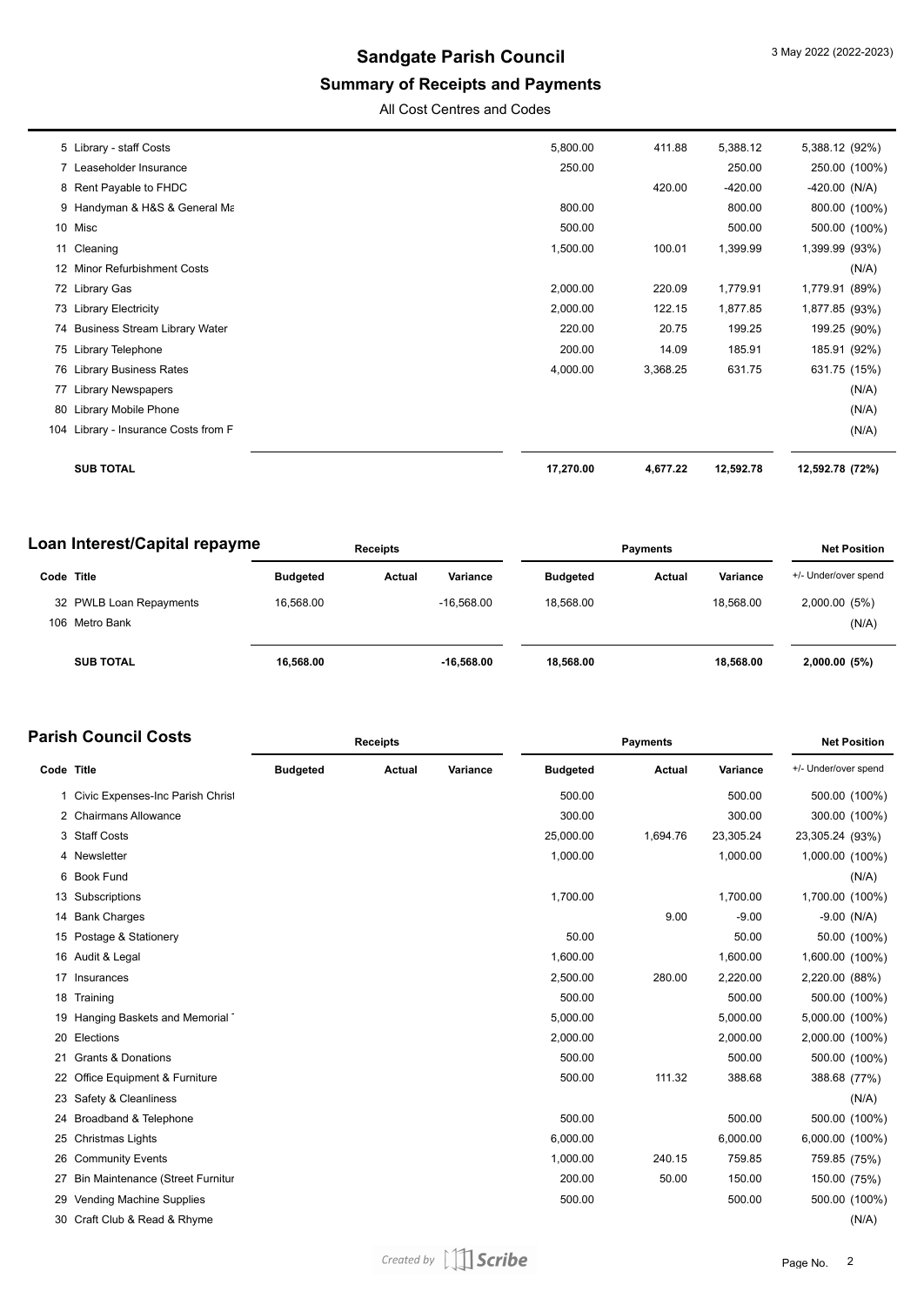# **Summary of Receipts and Payments**

All Cost Centres and Codes

| 75 Library Telephone<br>76 Library Business Rates<br><b>Library Newspapers</b><br>80 Library Mobile Phone<br>104 Library - Insurance Costs from F | 200.00<br>4,000.00 | 14.09<br>3,368.25                          | 185.91<br>631.75 | 185.91 (92%)<br>631.75 (15%)<br>(N/A)<br>(N/A)<br>(N/A) |
|---------------------------------------------------------------------------------------------------------------------------------------------------|--------------------|--------------------------------------------|------------------|---------------------------------------------------------|
|                                                                                                                                                   |                    |                                            |                  |                                                         |
|                                                                                                                                                   |                    |                                            |                  |                                                         |
|                                                                                                                                                   |                    |                                            |                  |                                                         |
|                                                                                                                                                   |                    |                                            |                  |                                                         |
|                                                                                                                                                   |                    |                                            |                  |                                                         |
|                                                                                                                                                   |                    | 20.75                                      | 199.25           | 199.25 (90%)                                            |
| 73 Library Electricity                                                                                                                            | 2,000.00           | 122.15                                     | 1,877.85         | 1,877.85 (93%)                                          |
| 72 Library Gas                                                                                                                                    | 2,000.00           | 220.09                                     | 1,779.91         | 1,779.91 (89%)                                          |
| 12 Minor Refurbishment Costs                                                                                                                      |                    |                                            |                  | (N/A)                                                   |
| 11 Cleaning                                                                                                                                       | 1,500.00           | 100.01                                     | 1,399.99         | 1,399.99 (93%)                                          |
| 10 Misc                                                                                                                                           | 500.00             |                                            | 500.00           | 500.00 (100%)                                           |
| 9 Handyman & H&S & General Ma                                                                                                                     | 800.00             |                                            | 800.00           | 800.00 (100%)                                           |
| 8 Rent Payable to FHDC                                                                                                                            |                    | 420.00                                     | $-420.00$        | $-420.00$ (N/A)                                         |
| 7 Leaseholder Insurance                                                                                                                           | 250.00             |                                            | 250.00           | 250.00 (100%)                                           |
| 5 Library - staff Costs                                                                                                                           | 5,800.00           | 411.88                                     | 5,388.12         | 5,388.12 (92%)                                          |
|                                                                                                                                                   |                    | 220.00<br>74 Business Stream Library Water |                  |                                                         |

| Loan Interest/Capital repayme |                         | <b>Receipts</b> |        |              | <b>Payments</b> |                 |        |           | <b>Net Position</b>  |  |
|-------------------------------|-------------------------|-----------------|--------|--------------|-----------------|-----------------|--------|-----------|----------------------|--|
| Code Title                    |                         | <b>Budgeted</b> | Actual | Variance     |                 | <b>Budgeted</b> | Actual | Variance  | +/- Under/over spend |  |
|                               | 32 PWLB Loan Repayments | 16.568.00       |        | $-16.568.00$ |                 | 18.568.00       |        | 18.568.00 | 2,000.00 (5%)        |  |
|                               | 106 Metro Bank          |                 |        |              |                 |                 |        |           | (N/A)                |  |
|                               | <b>SUB TOTAL</b>        | 16.568.00       |        | $-16.568.00$ |                 | 18.568.00       |        | 18.568.00 | 2,000.00(5%)         |  |

|            | <b>Parish Council Costs</b>         | <b>Receipts</b> |               |          |                 | <b>Net Position</b> |           |                      |               |
|------------|-------------------------------------|-----------------|---------------|----------|-----------------|---------------------|-----------|----------------------|---------------|
| Code Title |                                     | <b>Budgeted</b> | <b>Actual</b> | Variance | <b>Budgeted</b> | Actual              | Variance  | +/- Under/over spend |               |
|            | 1 Civic Expenses-Inc Parish Christ  |                 |               |          | 500.00          |                     | 500.00    |                      | 500.00 (100%) |
|            | 2 Chairmans Allowance               |                 |               |          | 300.00          |                     | 300.00    |                      | 300.00 (100%) |
|            | 3 Staff Costs                       |                 |               |          | 25,000.00       | 1,694.76            | 23,305.24 | 23,305.24 (93%)      |               |
|            | 4 Newsletter                        |                 |               |          | 1,000.00        |                     | 1,000.00  | 1,000.00 (100%)      |               |
|            | 6 Book Fund                         |                 |               |          |                 |                     |           |                      | (N/A)         |
|            | 13 Subscriptions                    |                 |               |          | 1,700.00        |                     | 1,700.00  | 1,700.00 (100%)      |               |
|            | 14 Bank Charges                     |                 |               |          |                 | 9.00                | $-9.00$   | $-9.00$ (N/A)        |               |
|            | 15 Postage & Stationery             |                 |               |          | 50.00           |                     | 50.00     |                      | 50.00 (100%)  |
|            | 16 Audit & Legal                    |                 |               |          | 1,600.00        |                     | 1,600.00  | 1,600.00 (100%)      |               |
|            | 17 Insurances                       |                 |               |          | 2,500.00        | 280.00              | 2,220.00  | 2,220.00 (88%)       |               |
|            | 18 Training                         |                 |               |          | 500.00          |                     | 500.00    |                      | 500.00 (100%) |
|            | 19 Hanging Baskets and Memorial     |                 |               |          | 5,000.00        |                     | 5,000.00  | 5,000.00 (100%)      |               |
|            | 20 Elections                        |                 |               |          | 2,000.00        |                     | 2,000.00  | 2,000.00 (100%)      |               |
| 21         | <b>Grants &amp; Donations</b>       |                 |               |          | 500.00          |                     | 500.00    |                      | 500.00 (100%) |
|            | 22 Office Equipment & Furniture     |                 |               |          | 500.00          | 111.32              | 388.68    | 388.68 (77%)         |               |
|            | 23 Safety & Cleanliness             |                 |               |          |                 |                     |           |                      | (N/A)         |
|            | 24 Broadband & Telephone            |                 |               |          | 500.00          |                     | 500.00    |                      | 500.00 (100%) |
|            | 25 Christmas Lights                 |                 |               |          | 6,000.00        |                     | 6,000.00  | 6,000.00 (100%)      |               |
| 26         | <b>Community Events</b>             |                 |               |          | 1,000.00        | 240.15              | 759.85    | 759.85 (75%)         |               |
|            | 27 Bin Maintenance (Street Furnitur |                 |               |          | 200.00          | 50.00               | 150.00    | 150.00 (75%)         |               |
|            | 29 Vending Machine Supplies         |                 |               |          | 500.00          |                     | 500.00    |                      | 500.00 (100%) |
|            | 30 Craft Club & Read & Rhyme        |                 |               |          |                 |                     |           |                      | (N/A)         |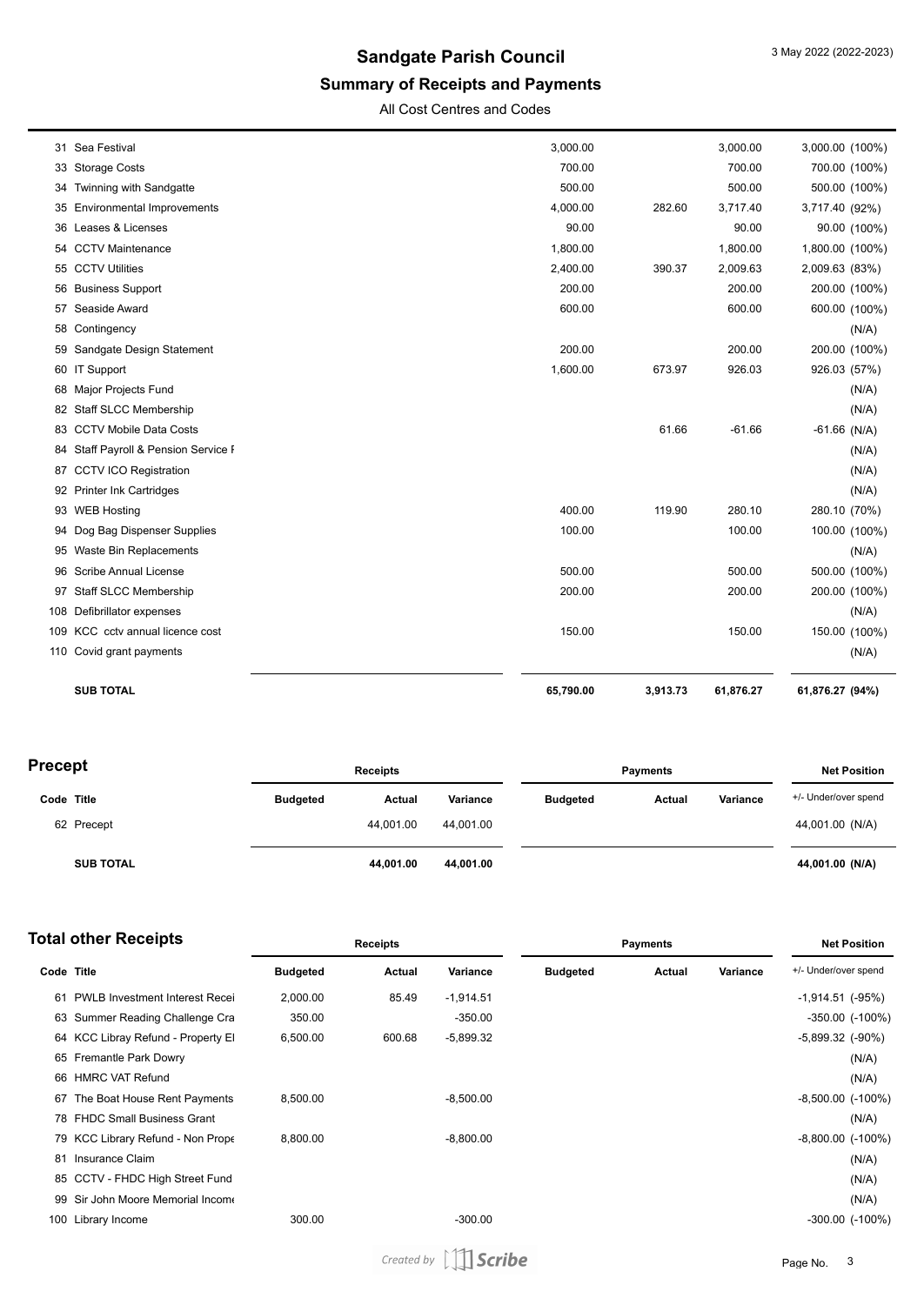# **Summary of Receipts and Payments**

All Cost Centres and Codes

|    | <b>SUB TOTAL</b>                     | 65,790.00 | 3,913.73 | 61,876.27 | 61,876.27 (94%) |               |
|----|--------------------------------------|-----------|----------|-----------|-----------------|---------------|
|    | 110 Covid grant payments             |           |          |           |                 | (N/A)         |
|    | 109 KCC cctv annual licence cost     | 150.00    |          | 150.00    |                 | 150.00 (100%) |
|    | 108 Defibrillator expenses           |           |          |           |                 | (N/A)         |
|    | 97 Staff SLCC Membership             | 200.00    |          | 200.00    |                 | 200.00 (100%) |
|    | 96 Scribe Annual License             | 500.00    |          | 500.00    |                 | 500.00 (100%) |
|    | 95 Waste Bin Replacements            |           |          |           |                 | (N/A)         |
|    | 94 Dog Bag Dispenser Supplies        | 100.00    |          | 100.00    |                 | 100.00 (100%) |
|    | 93 WEB Hosting                       | 400.00    | 119.90   | 280.10    | 280.10 (70%)    |               |
|    | 92 Printer Ink Cartridges            |           |          |           |                 | (N/A)         |
|    | 87 CCTV ICO Registration             |           |          |           |                 | (N/A)         |
|    | 84 Staff Payroll & Pension Service F |           |          |           |                 | (N/A)         |
|    | 83 CCTV Mobile Data Costs            |           | 61.66    | $-61.66$  | $-61.66$ (N/A)  |               |
|    | 82 Staff SLCC Membership             |           |          |           |                 | (N/A)         |
|    | 68 Major Projects Fund               |           |          |           |                 | (N/A)         |
|    | 60 IT Support                        | 1,600.00  | 673.97   | 926.03    | 926.03 (57%)    |               |
|    | 59 Sandgate Design Statement         | 200.00    |          | 200.00    |                 | 200.00 (100%) |
|    | 58 Contingency                       |           |          |           |                 | (N/A)         |
|    | 57 Seaside Award                     | 600.00    |          | 600.00    |                 | 600.00 (100%) |
|    | 56 Business Support                  | 200.00    |          | 200.00    |                 | 200.00 (100%) |
|    | 55 CCTV Utilities                    | 2,400.00  | 390.37   | 2,009.63  | 2,009.63 (83%)  |               |
|    | 54 CCTV Maintenance                  | 1,800.00  |          | 1,800.00  | 1,800.00 (100%) |               |
|    | 36 Leases & Licenses                 | 90.00     |          | 90.00     |                 | 90.00 (100%)  |
|    | 35 Environmental Improvements        | 4,000.00  | 282.60   | 3,717.40  | 3,717.40 (92%)  |               |
|    | 34 Twinning with Sandgatte           | 500.00    |          | 500.00    |                 | 500.00 (100%) |
|    | 33 Storage Costs                     | 700.00    |          | 700.00    |                 | 700.00 (100%) |
| 31 | Sea Festival                         | 3,000.00  |          | 3,000.00  | 3,000.00 (100%) |               |

| <b>Precept</b> |                  | <b>Receipts</b> |           |           | <b>Payments</b> |        |          | <b>Net Position</b>  |  |
|----------------|------------------|-----------------|-----------|-----------|-----------------|--------|----------|----------------------|--|
| Code Title     |                  | <b>Budgeted</b> | Actual    | Variance  | <b>Budgeted</b> | Actual | Variance | +/- Under/over spend |  |
|                | 62 Precept       |                 | 44.001.00 | 44.001.00 |                 |        |          | 44,001.00 (N/A)      |  |
|                | <b>SUB TOTAL</b> |                 | 44,001.00 | 44,001.00 |                 |        |          | 44,001.00 (N/A)      |  |

| <b>Total other Receipts</b> |                                       | <b>Receipts</b> |        |             | <b>Payments</b> |        |          | <b>Net Position</b>     |                        |
|-----------------------------|---------------------------------------|-----------------|--------|-------------|-----------------|--------|----------|-------------------------|------------------------|
| Code Title                  |                                       | <b>Budgeted</b> | Actual | Variance    | <b>Budgeted</b> | Actual | Variance | +/- Under/over spend    |                        |
| 61                          | <b>PWLB Investment Interest Recei</b> | 2,000.00        | 85.49  | $-1,914.51$ |                 |        |          | $-1,914.51$ ( $-95\%$ ) |                        |
|                             | 63 Summer Reading Challenge Cra       | 350.00          |        | $-350.00$   |                 |        |          |                         | $-350.00$ ( $-100\%$ ) |
|                             | 64 KCC Libray Refund - Property El    | 6,500.00        | 600.68 | $-5,899.32$ |                 |        |          | $-5,899.32$ $(-90\%)$   |                        |
|                             | 65 Fremantle Park Dowry               |                 |        |             |                 |        |          |                         | (N/A)                  |
|                             | 66 HMRC VAT Refund                    |                 |        |             |                 |        |          |                         | (N/A)                  |
|                             | 67 The Boat House Rent Payments       | 8,500.00        |        | $-8,500.00$ |                 |        |          | $-8,500.00$ $(-100\%)$  |                        |
|                             | 78 FHDC Small Business Grant          |                 |        |             |                 |        |          |                         | (N/A)                  |
|                             | 79 KCC Library Refund - Non Prope     | 8,800.00        |        | $-8,800.00$ |                 |        |          | $-8,800.00$ $(-100\%)$  |                        |
| 81                          | Insurance Claim                       |                 |        |             |                 |        |          |                         | (N/A)                  |
|                             | 85 CCTV - FHDC High Street Fund       |                 |        |             |                 |        |          |                         | (N/A)                  |
| 99                          | Sir John Moore Memorial Income        |                 |        |             |                 |        |          |                         | (N/A)                  |
|                             | 100 Library Income                    | 300.00          |        | $-300.00$   |                 |        |          |                         | -300.00 (-100%)        |